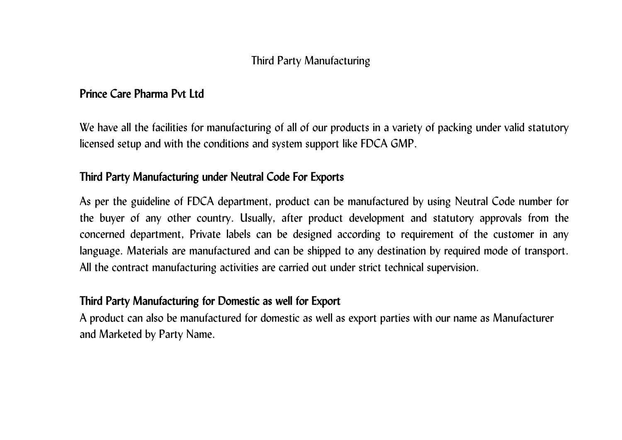## Third Party Manufacturing

#### **Prince Care Pharma Pvt Ltd**

We have all the facilities for manufacturing of all of our products in a variety of packing under valid statutory licensed setup and with the conditions and system support like FDCA GMP.

### **Third Party Manufacturing under Neutral Code For Exports**

As per the guideline of FDCA department, product can be manufactured by using Neutral Code number for the buyer of any other country. Usually, after product development and statutory approvals from the concerned department, Private labels can be designed according to requirement of the customer in any language. Materials are manufactured and can be shipped to any destination by required mode of transport. All the contract manufacturing activities are carried out under strict technical supervision.

#### **Third Party Manufacturing for Domestic as well for Export**

A product can also be manufactured for domestic as well as export parties with our name as Manufacturer and Marketed by Party Name.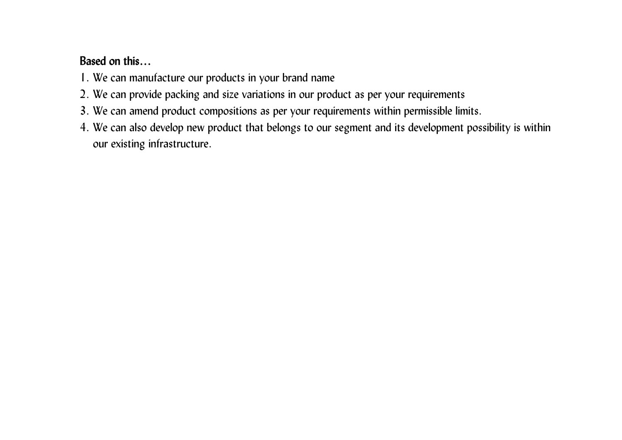# **Based on this…**

- 1. We can manufacture our products in your brand name
- 2. We can provide packing and size variations in our product as per your requirements
- 3. We can amend product compositions as per your requirements within permissible limits.
- 4. We can also develop new product that belongs to our segment and its development possibility is within our existing infrastructure.